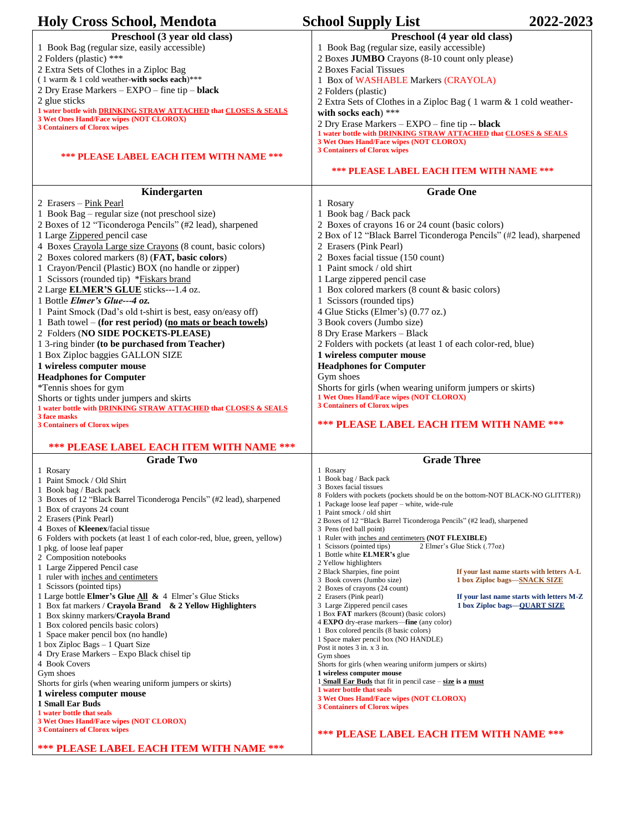| <b>Holy Cross School, Mendota</b>                                                                                                                                                                                                                                                                                                                                                                                                                                                                                                                                                                                                                                            | <b>School Supply List</b><br>2022-2023                                                                                               |  |
|------------------------------------------------------------------------------------------------------------------------------------------------------------------------------------------------------------------------------------------------------------------------------------------------------------------------------------------------------------------------------------------------------------------------------------------------------------------------------------------------------------------------------------------------------------------------------------------------------------------------------------------------------------------------------|--------------------------------------------------------------------------------------------------------------------------------------|--|
| Preschool (3 year old class)                                                                                                                                                                                                                                                                                                                                                                                                                                                                                                                                                                                                                                                 | Preschool (4 year old class)                                                                                                         |  |
| 1 Book Bag (regular size, easily accessible)                                                                                                                                                                                                                                                                                                                                                                                                                                                                                                                                                                                                                                 | 1 Book Bag (regular size, easily accessible)                                                                                         |  |
| 2 Folders (plastic) ***                                                                                                                                                                                                                                                                                                                                                                                                                                                                                                                                                                                                                                                      | 2 Boxes JUMBO Crayons (8-10 count only please)                                                                                       |  |
| 2 Extra Sets of Clothes in a Ziploc Bag                                                                                                                                                                                                                                                                                                                                                                                                                                                                                                                                                                                                                                      | 2 Boxes Facial Tissues                                                                                                               |  |
| $(1$ warm & 1 cold weather-with socks each)***                                                                                                                                                                                                                                                                                                                                                                                                                                                                                                                                                                                                                               | 1 Box of WASHABLE Markers (CRAYOLA)                                                                                                  |  |
| 2 Dry Erase Markers - EXPO - fine tip - black                                                                                                                                                                                                                                                                                                                                                                                                                                                                                                                                                                                                                                | 2 Folders (plastic)                                                                                                                  |  |
| 2 glue sticks                                                                                                                                                                                                                                                                                                                                                                                                                                                                                                                                                                                                                                                                | 2 Extra Sets of Clothes in a Ziploc Bag (1 warm & 1 cold weather-                                                                    |  |
| 1 water bottle with DRINKING STRAW ATTACHED that CLOSES & SEALS                                                                                                                                                                                                                                                                                                                                                                                                                                                                                                                                                                                                              | with socks each) ***                                                                                                                 |  |
| <b>3 Wet Ones Hand/Face wipes (NOT CLOROX)</b><br><b>3 Containers of Clorox wipes</b>                                                                                                                                                                                                                                                                                                                                                                                                                                                                                                                                                                                        | 2 Dry Erase Markers - EXPO - fine tip -- black                                                                                       |  |
|                                                                                                                                                                                                                                                                                                                                                                                                                                                                                                                                                                                                                                                                              | 1 water bottle with <b>DRINKING STRAW ATTACHED</b> that <b>CLOSES &amp; SEALS</b>                                                    |  |
|                                                                                                                                                                                                                                                                                                                                                                                                                                                                                                                                                                                                                                                                              | <b>3 Wet Ones Hand/Face wipes (NOT CLOROX)</b>                                                                                       |  |
| <b>*** PLEASE LABEL EACH ITEM WITH NAME ***</b>                                                                                                                                                                                                                                                                                                                                                                                                                                                                                                                                                                                                                              | <b>3 Containers of Clorox wipes</b>                                                                                                  |  |
|                                                                                                                                                                                                                                                                                                                                                                                                                                                                                                                                                                                                                                                                              | <b>*** PLEASE LABEL EACH ITEM WITH NAME ***</b>                                                                                      |  |
| Kindergarten                                                                                                                                                                                                                                                                                                                                                                                                                                                                                                                                                                                                                                                                 | <b>Grade One</b>                                                                                                                     |  |
| 2 Erasers - Pink Pearl                                                                                                                                                                                                                                                                                                                                                                                                                                                                                                                                                                                                                                                       | 1 Rosary                                                                                                                             |  |
| 1 Book Bag - regular size (not preschool size)                                                                                                                                                                                                                                                                                                                                                                                                                                                                                                                                                                                                                               | 1 Book bag / Back pack                                                                                                               |  |
| 2 Boxes of 12 "Ticonderoga Pencils" (#2 lead), sharpened                                                                                                                                                                                                                                                                                                                                                                                                                                                                                                                                                                                                                     | 2 Boxes of crayons 16 or 24 count (basic colors)                                                                                     |  |
| 1 Large Zippered pencil case                                                                                                                                                                                                                                                                                                                                                                                                                                                                                                                                                                                                                                                 | 2 Box of 12 "Black Barrel Ticonderoga Pencils" (#2 lead), sharpened                                                                  |  |
| 4 Boxes Crayola Large size Crayons (8 count, basic colors)                                                                                                                                                                                                                                                                                                                                                                                                                                                                                                                                                                                                                   | 2 Erasers (Pink Pearl)                                                                                                               |  |
| 2 Boxes colored markers (8) (FAT, basic colors)                                                                                                                                                                                                                                                                                                                                                                                                                                                                                                                                                                                                                              | 2 Boxes facial tissue (150 count)                                                                                                    |  |
| 1 Crayon/Pencil (Plastic) BOX (no handle or zipper)                                                                                                                                                                                                                                                                                                                                                                                                                                                                                                                                                                                                                          | 1 Paint smock / old shirt                                                                                                            |  |
| 1 Scissors (rounded tip) *Fiskars brand                                                                                                                                                                                                                                                                                                                                                                                                                                                                                                                                                                                                                                      | 1 Large zippered pencil case                                                                                                         |  |
| 2 Large <b>ELMER'S GLUE</b> sticks---1.4 oz.                                                                                                                                                                                                                                                                                                                                                                                                                                                                                                                                                                                                                                 | 1 Box colored markers (8 count & basic colors)                                                                                       |  |
| 1 Bottle Elmer's Glue---4 oz.                                                                                                                                                                                                                                                                                                                                                                                                                                                                                                                                                                                                                                                | 1 Scissors (rounded tips)                                                                                                            |  |
| 1 Paint Smock (Dad's old t-shirt is best, easy on/easy off)                                                                                                                                                                                                                                                                                                                                                                                                                                                                                                                                                                                                                  | 4 Glue Sticks (Elmer's) (0.77 oz.)                                                                                                   |  |
| 1 Bath towel – (for rest period) (no mats or beach towels)                                                                                                                                                                                                                                                                                                                                                                                                                                                                                                                                                                                                                   | 3 Book covers (Jumbo size)                                                                                                           |  |
| 2 Folders (NO SIDE POCKETS-PLEASE)                                                                                                                                                                                                                                                                                                                                                                                                                                                                                                                                                                                                                                           | 8 Dry Erase Markers - Black                                                                                                          |  |
| 1 3-ring binder (to be purchased from Teacher)                                                                                                                                                                                                                                                                                                                                                                                                                                                                                                                                                                                                                               | 2 Folders with pockets (at least 1 of each color-red, blue)                                                                          |  |
| 1 Box Ziploc baggies GALLON SIZE                                                                                                                                                                                                                                                                                                                                                                                                                                                                                                                                                                                                                                             | 1 wireless computer mouse                                                                                                            |  |
| 1 wireless computer mouse                                                                                                                                                                                                                                                                                                                                                                                                                                                                                                                                                                                                                                                    | <b>Headphones for Computer</b>                                                                                                       |  |
| <b>Headphones for Computer</b>                                                                                                                                                                                                                                                                                                                                                                                                                                                                                                                                                                                                                                               | Gym shoes                                                                                                                            |  |
| *Tennis shoes for gym                                                                                                                                                                                                                                                                                                                                                                                                                                                                                                                                                                                                                                                        | Shorts for girls (when wearing uniform jumpers or skirts)<br>1 Wet Ones Hand/Face wipes (NOT CLOROX)                                 |  |
| Shorts or tights under jumpers and skirts<br>1 water bottle with DRINKING STRAW ATTACHED that CLOSES & SEALS                                                                                                                                                                                                                                                                                                                                                                                                                                                                                                                                                                 | <b>3 Containers of Clorox wipes</b>                                                                                                  |  |
| 3 face masks                                                                                                                                                                                                                                                                                                                                                                                                                                                                                                                                                                                                                                                                 |                                                                                                                                      |  |
| <b>3 Containers of Clorox wipes</b>                                                                                                                                                                                                                                                                                                                                                                                                                                                                                                                                                                                                                                          | <b>*** PLEASE LABEL EACH ITEM WITH NAME ***</b>                                                                                      |  |
| *** PLEASE LABEL EACH ITEM WITH NAME ***                                                                                                                                                                                                                                                                                                                                                                                                                                                                                                                                                                                                                                     |                                                                                                                                      |  |
| <b>Grade Two</b>                                                                                                                                                                                                                                                                                                                                                                                                                                                                                                                                                                                                                                                             | <b>Grade Three</b>                                                                                                                   |  |
| 1 Rosary                                                                                                                                                                                                                                                                                                                                                                                                                                                                                                                                                                                                                                                                     | 1 Rosary                                                                                                                             |  |
| 1 Paint Smock / Old Shirt                                                                                                                                                                                                                                                                                                                                                                                                                                                                                                                                                                                                                                                    | 1 Book bag / Back pack<br>3 Boxes facial tissues                                                                                     |  |
| 1 Book bag / Back pack<br>3 Boxes of 12 "Black Barrel Ticonderoga Pencils" (#2 lead), sharpened                                                                                                                                                                                                                                                                                                                                                                                                                                                                                                                                                                              | 8 Folders with pockets (pockets should be on the bottom-NOT BLACK-NO GLITTER))                                                       |  |
| 1 Box of crayons 24 count                                                                                                                                                                                                                                                                                                                                                                                                                                                                                                                                                                                                                                                    | 1 Package loose leaf paper – white, wide-rule                                                                                        |  |
| 2 Erasers (Pink Pearl)                                                                                                                                                                                                                                                                                                                                                                                                                                                                                                                                                                                                                                                       | 1 Paint smock / old shirt<br>2 Boxes of 12 "Black Barrel Ticonderoga Pencils" (#2 lead), sharpened                                   |  |
| 4 Boxes of <b>Kleenex</b> /facial tissue                                                                                                                                                                                                                                                                                                                                                                                                                                                                                                                                                                                                                                     |                                                                                                                                      |  |
|                                                                                                                                                                                                                                                                                                                                                                                                                                                                                                                                                                                                                                                                              | 3 Pens (red ball point)                                                                                                              |  |
|                                                                                                                                                                                                                                                                                                                                                                                                                                                                                                                                                                                                                                                                              | 1 Ruler with inches and centimeters (NOT FLEXIBLE)                                                                                   |  |
| 1 pkg. of loose leaf paper                                                                                                                                                                                                                                                                                                                                                                                                                                                                                                                                                                                                                                                   | 1 Scissors (pointed tips)<br>2 Elmer's Glue Stick (.77oz)                                                                            |  |
|                                                                                                                                                                                                                                                                                                                                                                                                                                                                                                                                                                                                                                                                              | 1 Bottle white <b>ELMER's</b> glue                                                                                                   |  |
|                                                                                                                                                                                                                                                                                                                                                                                                                                                                                                                                                                                                                                                                              | 2 Yellow highlighters<br>2 Black Sharpies, fine point<br>If your last name starts with letters A-L                                   |  |
|                                                                                                                                                                                                                                                                                                                                                                                                                                                                                                                                                                                                                                                                              | 3 Book covers (Jumbo size)<br>1 box Ziploc bags-SNACK SIZE                                                                           |  |
|                                                                                                                                                                                                                                                                                                                                                                                                                                                                                                                                                                                                                                                                              | 2 Boxes of crayons (24 count)                                                                                                        |  |
|                                                                                                                                                                                                                                                                                                                                                                                                                                                                                                                                                                                                                                                                              | 2 Erasers (Pink pearl)<br>If your last name starts with letters M-Z<br>3 Large Zippered pencil cases<br>1 box Ziploc bags-OUART SIZE |  |
|                                                                                                                                                                                                                                                                                                                                                                                                                                                                                                                                                                                                                                                                              | 1 Box FAT markers (8count) (basic colors)                                                                                            |  |
|                                                                                                                                                                                                                                                                                                                                                                                                                                                                                                                                                                                                                                                                              | 4 EXPO dry-erase markers—fine (any color)                                                                                            |  |
|                                                                                                                                                                                                                                                                                                                                                                                                                                                                                                                                                                                                                                                                              | 1 Box colored pencils (8 basic colors)<br>1 Space maker pencil box (NO HANDLE)                                                       |  |
|                                                                                                                                                                                                                                                                                                                                                                                                                                                                                                                                                                                                                                                                              | Post it notes 3 in. x 3 in.                                                                                                          |  |
|                                                                                                                                                                                                                                                                                                                                                                                                                                                                                                                                                                                                                                                                              | Gym shoes                                                                                                                            |  |
|                                                                                                                                                                                                                                                                                                                                                                                                                                                                                                                                                                                                                                                                              | Shorts for girls (when wearing uniform jumpers or skirts)                                                                            |  |
|                                                                                                                                                                                                                                                                                                                                                                                                                                                                                                                                                                                                                                                                              | 1 wireless computer mouse<br>1 Small Ear Buds that fit in pencil case - size is a must                                               |  |
|                                                                                                                                                                                                                                                                                                                                                                                                                                                                                                                                                                                                                                                                              | 1 water bottle that seals                                                                                                            |  |
| 1 ruler with inches and centimeters<br>4 Book Covers                                                                                                                                                                                                                                                                                                                                                                                                                                                                                                                                                                                                                         | 3 Wet Ones Hand/Face wipes (NOT CLOROX)                                                                                              |  |
| 6 Folders with pockets (at least 1 of each color-red, blue, green, yellow)<br>2 Composition notebooks<br>1 Large Zippered Pencil case<br>1 Scissors (pointed tips)<br>1 Large bottle <b>Elmer's Glue All &amp;</b> 4 Elmer's Glue Sticks<br>1 Box fat markers / Crayola Brand & 2 Yellow Highlighters<br>1 Box skinny markers/Crayola Brand<br>1 Box colored pencils basic colors)<br>1 Space maker pencil box (no handle)<br>1 box Ziploc Bags - 1 Quart Size<br>4 Dry Erase Markers - Expo Black chisel tip<br>Gym shoes<br>Shorts for girls (when wearing uniform jumpers or skirts)<br>1 wireless computer mouse<br><b>1 Small Ear Buds</b><br>1 water bottle that seals | <b>3 Containers of Clorox wipes</b>                                                                                                  |  |
| 3 Wet Ones Hand/Face wipes (NOT CLOROX)                                                                                                                                                                                                                                                                                                                                                                                                                                                                                                                                                                                                                                      |                                                                                                                                      |  |
| <b>3 Containers of Clorox wipes</b>                                                                                                                                                                                                                                                                                                                                                                                                                                                                                                                                                                                                                                          | <b>*** PLEASE LABEL EACH ITEM WITH NAME ***</b>                                                                                      |  |